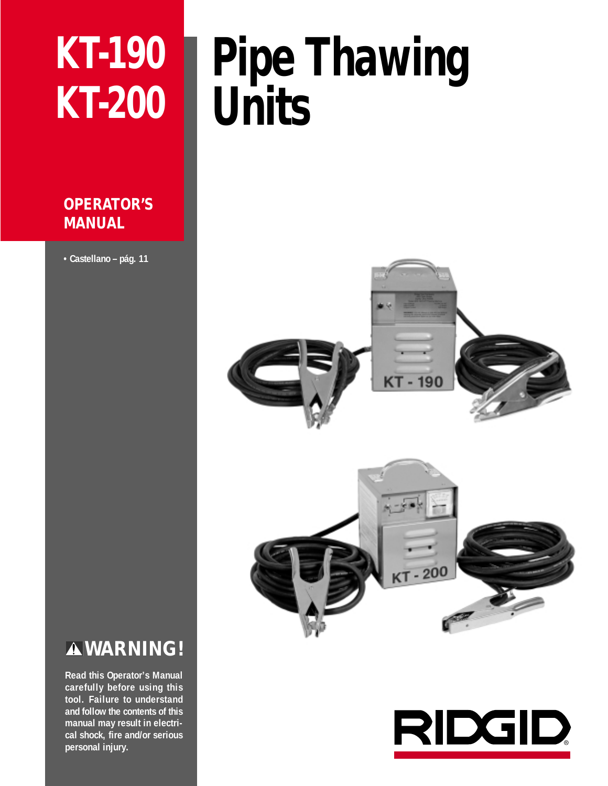# **KT-190 KT-200**

# **OPERATOR'S MANUAL**

**• Castellano – pág. 11**

# **Pipe Thawing Units**



# **WARNING!**

**Read this Operator's Manual carefully before using this tool. Failure to understand and follow the contents of this manual may result in electrical shock, fire and/or serious personal injury.**

# **RIDGID**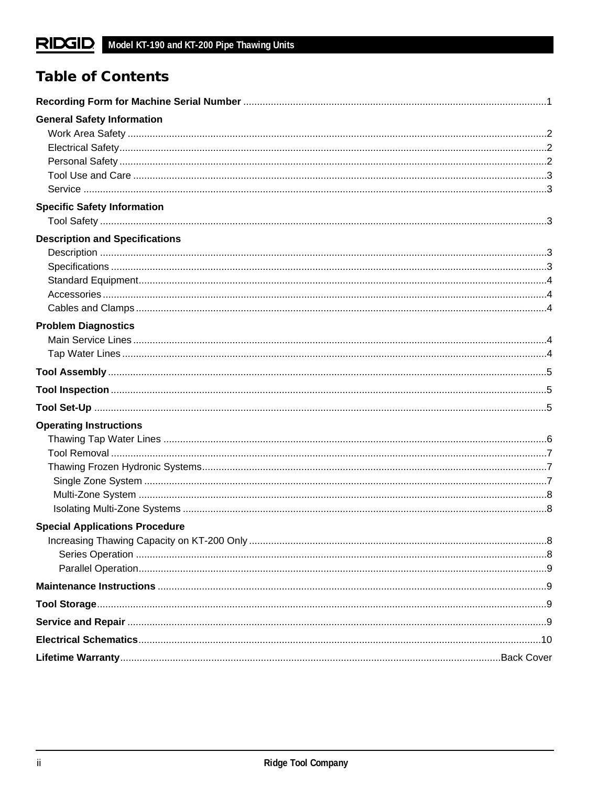# **Table of Contents**

| <b>General Safety Information</b>     |  |
|---------------------------------------|--|
|                                       |  |
|                                       |  |
|                                       |  |
|                                       |  |
|                                       |  |
| <b>Specific Safety Information</b>    |  |
|                                       |  |
| <b>Description and Specifications</b> |  |
|                                       |  |
|                                       |  |
|                                       |  |
|                                       |  |
|                                       |  |
| <b>Problem Diagnostics</b>            |  |
|                                       |  |
|                                       |  |
|                                       |  |
|                                       |  |
|                                       |  |
| <b>Operating Instructions</b>         |  |
|                                       |  |
|                                       |  |
|                                       |  |
|                                       |  |
|                                       |  |
|                                       |  |
| <b>Special Applications Procedure</b> |  |
|                                       |  |
|                                       |  |
|                                       |  |
|                                       |  |
|                                       |  |
|                                       |  |
|                                       |  |
|                                       |  |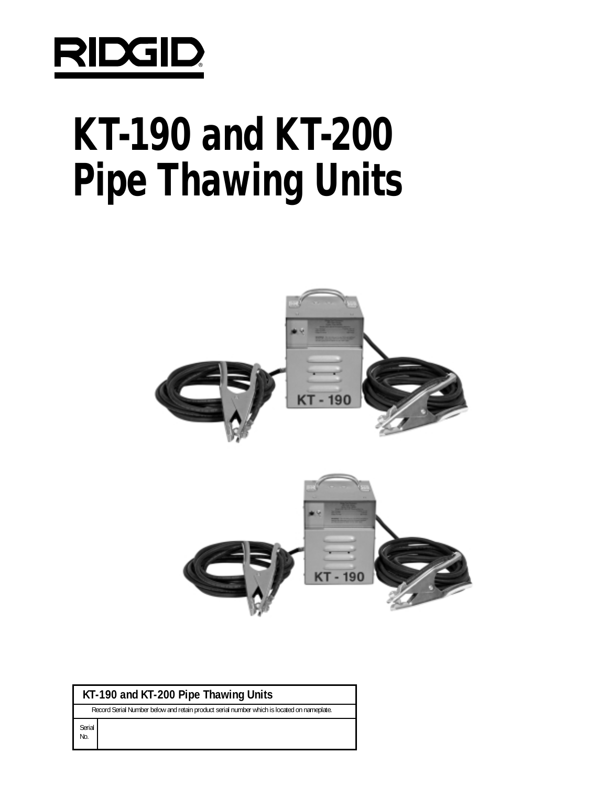

# **KT-190 and KT-200 Pipe Thawing Units**



## **KT-190 and KT-200 Pipe Thawing Units**

Record Serial Number below and retain product serial number which is located on nameplate.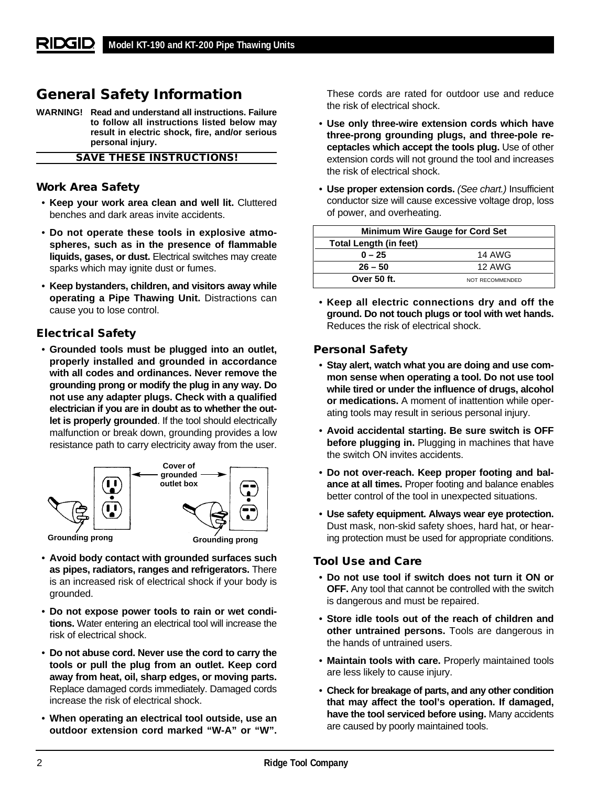# **General Safety Information**

**WARNING! Read and understand all instructions. Failure to follow all instructions listed below may result in electric shock, fire, and/or serious personal injury.**

**SAVE THESE INSTRUCTIONS!**

#### **Work Area Safety**

- **Keep your work area clean and well lit.** Cluttered benches and dark areas invite accidents.
- **Do not operate these tools in explosive atmospheres, such as in the presence of flammable liquids, gases, or dust.** Electrical switches may create sparks which may ignite dust or fumes.
- **Keep bystanders, children, and visitors away while operating a Pipe Thawing Unit.** Distractions can cause you to lose control.

#### **Electrical Safety**

• **Grounded tools must be plugged into an outlet, properly installed and grounded in accordance with all codes and ordinances. Never remove the grounding prong or modify the plug in any way. Do not use any adapter plugs. Check with a qualified electrician if you are in doubt as to whether the outlet is properly grounded**. If the tool should electrically malfunction or break down, grounding provides a low resistance path to carry electricity away from the user.



- **Avoid body contact with grounded surfaces such as pipes, radiators, ranges and refrigerators.** There is an increased risk of electrical shock if your body is grounded.
- **Do not expose power tools to rain or wet conditions.** Water entering an electrical tool will increase the risk of electrical shock.
- **Do not abuse cord. Never use the cord to carry the tools or pull the plug from an outlet. Keep cord away from heat, oil, sharp edges, or moving parts.** Replace damaged cords immediately. Damaged cords increase the risk of electrical shock.
- **When operating an electrical tool outside, use an outdoor extension cord marked "W-A" or "W".**

These cords are rated for outdoor use and reduce the risk of electrical shock.

- **Use only three-wire extension cords which have three-prong grounding plugs, and three-pole receptacles which accept the tools plug.** Use of other extension cords will not ground the tool and increases the risk of electrical shock.
- **Use proper extension cords.** (See chart.) Insufficient conductor size will cause excessive voltage drop, loss of power, and overheating.

| <b>Minimum Wire Gauge for Cord Set</b> |                 |  |
|----------------------------------------|-----------------|--|
| Total Length (in feet)                 |                 |  |
| $0 - 25$                               | 14 AWG          |  |
| $26 - 50$                              | 12 AWG          |  |
| Over 50 ft.                            | NOT RECOMMENDED |  |

• **Keep all electric connections dry and off the ground. Do not touch plugs or tool with wet hands.** Reduces the risk of electrical shock.

#### **Personal Safety**

- **Stay alert, watch what you are doing and use common sense when operating a tool. Do not use tool while tired or under the influence of drugs, alcohol or medications.** A moment of inattention while operating tools may result in serious personal injury.
- **Avoid accidental starting. Be sure switch is OFF before plugging in.** Plugging in machines that have the switch ON invites accidents.
- **Do not over-reach. Keep proper footing and balance at all times.** Proper footing and balance enables better control of the tool in unexpected situations.
- **Use safety equipment. Always wear eye protection.** Dust mask, non-skid safety shoes, hard hat, or hearing protection must be used for appropriate conditions.

#### **Tool Use and Care**

- **Do not use tool if switch does not turn it ON or OFF.** Any tool that cannot be controlled with the switch is dangerous and must be repaired.
- **Store idle tools out of the reach of children and other untrained persons.** Tools are dangerous in the hands of untrained users.
- **Maintain tools with care.** Properly maintained tools are less likely to cause injury.
- **Check for breakage of parts, and any other condition that may affect the tool's operation. If damaged, have the tool serviced before using.** Many accidents are caused by poorly maintained tools.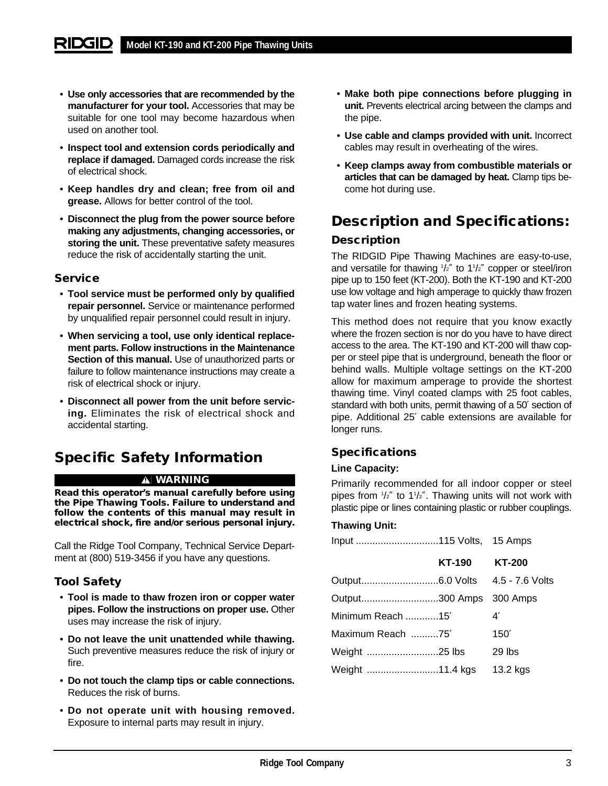- **Use only accessories that are recommended by the manufacturer for your tool.** Accessories that may be suitable for one tool may become hazardous when used on another tool.
- **Inspect tool and extension cords periodically and replace if damaged.** Damaged cords increase the risk of electrical shock.
- **Keep handles dry and clean; free from oil and grease.** Allows for better control of the tool.
- **Disconnect the plug from the power source before making any adjustments, changing accessories, or storing the unit.** These preventative safety measures reduce the risk of accidentally starting the unit.

#### **Service**

- **Tool service must be performed only by qualified repair personnel.** Service or maintenance performed by unqualified repair personnel could result in injury.
- **When servicing a tool, use only identical replacement parts. Follow instructions in the Maintenance Section of this manual.** Use of unauthorized parts or failure to follow maintenance instructions may create a risk of electrical shock or injury.
- **Disconnect all power from the unit before servicing.** Eliminates the risk of electrical shock and accidental starting.

# **Specific Safety Information**

#### **WARNING**

**Read this operator's manual carefully before using the Pipe Thawing Tools. Failure to understand and follow the contents of this manual may result in electrical shock, fire and/or serious personal injury.**

Call the Ridge Tool Company, Technical Service Department at (800) 519-3456 if you have any questions.

## **Tool Safety**

- **Tool is made to thaw frozen iron or copper water pipes. Follow the instructions on proper use.** Other uses may increase the risk of injury.
- **Do not leave the unit unattended while thawing.** Such preventive measures reduce the risk of injury or fire.
- **Do not touch the clamp tips or cable connections.** Reduces the risk of burns.
- **Do not operate unit with housing removed.** Exposure to internal parts may result in injury.
- **Make both pipe connections before plugging in unit.** Prevents electrical arcing between the clamps and the pipe.
- **Use cable and clamps provided with unit.** Incorrect cables may result in overheating of the wires.
- **Keep clamps away from combustible materials or articles that can be damaged by heat.** Clamp tips become hot during use.

# **Description and Specifications:**

## **Description**

The RIDGID Pipe Thawing Machines are easy-to-use, and versatile for thawing  $1/z''$  to 1 $1/z''$  copper or steel/iron pipe up to 150 feet (KT-200). Both the KT-190 and KT-200 use low voltage and high amperage to quickly thaw frozen tap water lines and frozen heating systems.

This method does not require that you know exactly where the frozen section is nor do you have to have direct access to the area. The KT-190 and KT-200 will thaw copper or steel pipe that is underground, beneath the floor or behind walls. Multiple voltage settings on the KT-200 allow for maximum amperage to provide the shortest thawing time. Vinyl coated clamps with 25 foot cables, standard with both units, permit thawing of a 50′ section of pipe. Additional 25′ cable extensions are available for longer runs.

## **Specifications**

#### **Line Capacity:**

Primarily recommended for all indoor copper or steel pipes from 1 /2″ to 11 /2″. Thawing units will not work with plastic pipe or lines containing plastic or rubber couplings.

#### **Thawing Unit:**

|                         | KT-190 | <b>KT-200</b> |
|-------------------------|--------|---------------|
|                         |        |               |
| Output300 Amps 300 Amps |        |               |
| Minimum Reach 15'       |        | 4'            |
| Maximum Reach 75'       |        | 150'          |
| Weight 25 lbs           |        | 29 lbs        |
| Weight 11.4 kgs         |        | 13.2 kgs      |
|                         |        |               |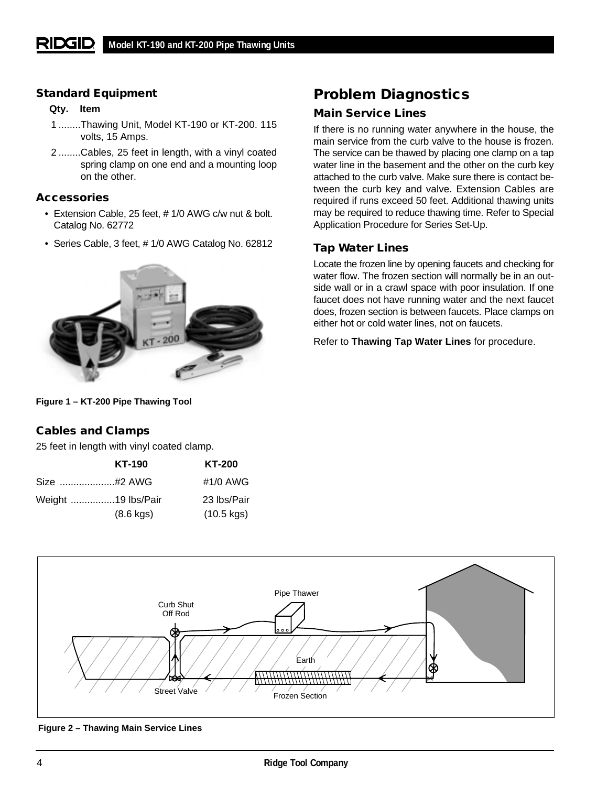#### **Standard Equipment**

#### **Qty. Item**

- 1 ........Thawing Unit, Model KT-190 or KT-200. 115 volts, 15 Amps.
- 2 ........Cables, 25 feet in length, with a vinyl coated spring clamp on one end and a mounting loop on the other.

#### **Accessories**

- Extension Cable, 25 feet, # 1/0 AWG c/w nut & bolt. Catalog No. 62772
- Series Cable, 3 feet, # 1/0 AWG Catalog No. 62812



# **Problem Diagnostics**

## **Main Service Lines**

If there is no running water anywhere in the house, the main service from the curb valve to the house is frozen. The service can be thawed by placing one clamp on a tap water line in the basement and the other on the curb key attached to the curb valve. Make sure there is contact between the curb key and valve. Extension Cables are required if runs exceed 50 feet. Additional thawing units may be required to reduce thawing time. Refer to Special Application Procedure for Series Set-Up.

## **Tap Water Lines**

Locate the frozen line by opening faucets and checking for water flow. The frozen section will normally be in an outside wall or in a crawl space with poor insulation. If one faucet does not have running water and the next faucet does, frozen section is between faucets. Place clamps on either hot or cold water lines, not on faucets.

Refer to **Thawing Tap Water Lines** for procedure.

#### **Figure 1 – KT-200 Pipe Thawing Tool**

## **Cables and Clamps**

25 feet in length with vinyl coated clamp.

|                    | <b>KT-190</b>       | <b>KT-200</b> |
|--------------------|---------------------|---------------|
|                    | Size #2 AWG         | #1/0 AWG      |
|                    | Weight 19 lbs/Pair  | 23 lbs/Pair   |
| $(8.6 \text{ kg})$ | $(10.5 \text{ kg})$ |               |



**Figure 2 – Thawing Main Service Lines**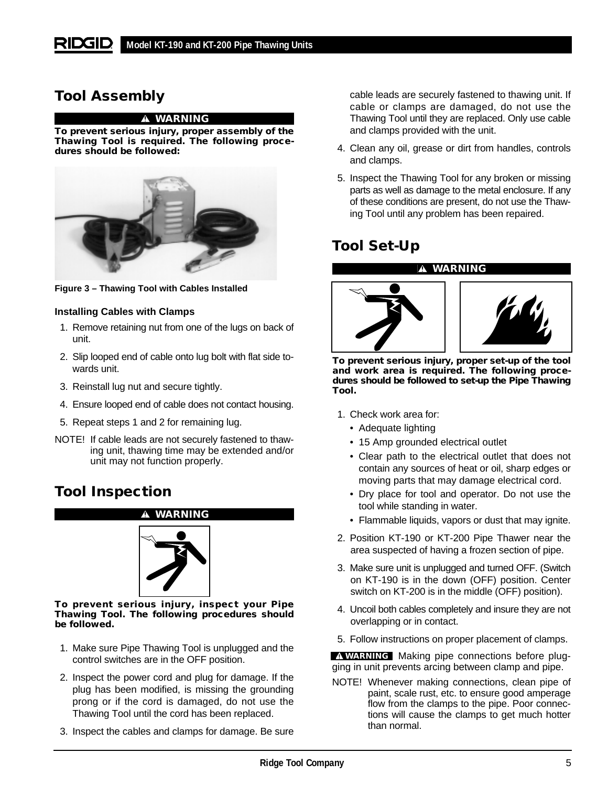# **Tool Assembly**

#### **WARNING**

**To prevent serious injury, proper assembly of the Thawing Tool is required. The following procedures should be followed:**



**Figure 3 – Thawing Tool with Cables Installed**

#### **Installing Cables with Clamps**

- 1. Remove retaining nut from one of the lugs on back of unit.
- 2. Slip looped end of cable onto lug bolt with flat side towards unit.
- 3. Reinstall lug nut and secure tightly.
- 4. Ensure looped end of cable does not contact housing.
- 5. Repeat steps 1 and 2 for remaining lug.
- NOTE! If cable leads are not securely fastened to thawing unit, thawing time may be extended and/or unit may not function properly.

# **Tool Inspection**



**To prevent serious injury, inspect your Pipe Thawing Tool. The following procedures should be followed.**

- 1. Make sure Pipe Thawing Tool is unplugged and the control switches are in the OFF position.
- 2. Inspect the power cord and plug for damage. If the plug has been modified, is missing the grounding prong or if the cord is damaged, do not use the Thawing Tool until the cord has been replaced.
- 3. Inspect the cables and clamps for damage. Be sure

cable leads are securely fastened to thawing unit. If cable or clamps are damaged, do not use the Thawing Tool until they are replaced. Only use cable and clamps provided with the unit.

- 4. Clean any oil, grease or dirt from handles, controls and clamps.
- 5. Inspect the Thawing Tool for any broken or missing parts as well as damage to the metal enclosure. If any of these conditions are present, do not use the Thawing Tool until any problem has been repaired.

# **Tool Set-Up**

**WARNING**



**To prevent serious injury, proper set-up of the tool and work area is required. The following procedures should be followed to set-up the Pipe Thawing Tool.**

- 1. Check work area for:
	- Adequate lighting
	- 15 Amp grounded electrical outlet
	- Clear path to the electrical outlet that does not contain any sources of heat or oil, sharp edges or moving parts that may damage electrical cord.
	- Dry place for tool and operator. Do not use the tool while standing in water.
	- Flammable liquids, vapors or dust that may ignite.
- 2. Position KT-190 or KT-200 Pipe Thawer near the area suspected of having a frozen section of pipe.
- 3. Make sure unit is unplugged and turned OFF. (Switch on KT-190 is in the down (OFF) position. Center switch on KT-200 is in the middle (OFF) position).
- 4. Uncoil both cables completely and insure they are not overlapping or in contact.
- 5. Follow instructions on proper placement of clamps.

Making pipe connections before plug-**WARNING**ging in unit prevents arcing between clamp and pipe.

NOTE! Whenever making connections, clean pipe of paint, scale rust, etc. to ensure good amperage flow from the clamps to the pipe. Poor connections will cause the clamps to get much hotter than normal.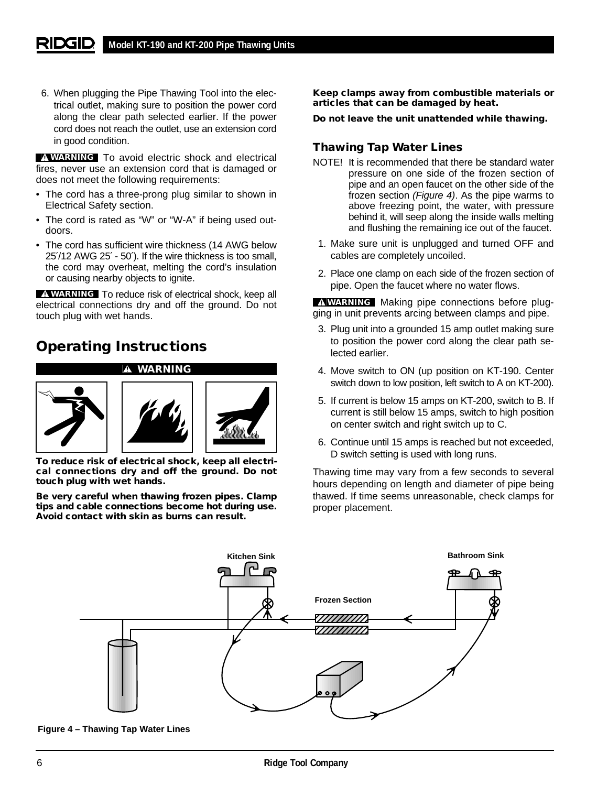6. When plugging the Pipe Thawing Tool into the electrical outlet, making sure to position the power cord along the clear path selected earlier. If the power cord does not reach the outlet, use an extension cord in good condition.

**WARNING** To avoid electric shock and electrical fires, never use an extension cord that is damaged or does not meet the following requirements:

- The cord has a three-prong plug similar to shown in Electrical Safety section.
- The cord is rated as "W" or "W-A" if being used outdoors.
- The cord has sufficient wire thickness (14 AWG below 25′/12 AWG 25′ - 50′). If the wire thickness is too small, the cord may overheat, melting the cord's insulation or causing nearby objects to ignite.

**WARNING** To reduce risk of electrical shock, keep all electrical connections dry and off the ground. Do not touch plug with wet hands.

# **Operating Instructions**



**To reduce risk of electrical shock, keep all electrical connections dry and off the ground. Do not touch plug with wet hands.**

**Be very careful when thawing frozen pipes. Clamp tips and cable connections become hot during use. Avoid contact with skin as burns can result.**

**Keep clamps away from combustible materials or articles that can be damaged by heat.**

**Do not leave the unit unattended while thawing.**

## **Thawing Tap Water Lines**

- NOTE! It is recommended that there be standard water pressure on one side of the frozen section of pipe and an open faucet on the other side of the frozen section (Figure 4). As the pipe warms to above freezing point, the water, with pressure behind it, will seep along the inside walls melting and flushing the remaining ice out of the faucet.
- 1. Make sure unit is unplugged and turned OFF and cables are completely uncoiled.
- 2. Place one clamp on each side of the frozen section of pipe. Open the faucet where no water flows.

**WARNING** Making pipe connections before plugging in unit prevents arcing between clamps and pipe.

- 3. Plug unit into a grounded 15 amp outlet making sure to position the power cord along the clear path selected earlier.
- 4. Move switch to ON (up position on KT-190. Center switch down to low position, left switch to A on KT-200).
- 5. If current is below 15 amps on KT-200, switch to B. If current is still below 15 amps, switch to high position on center switch and right switch up to C.
- 6. Continue until 15 amps is reached but not exceeded, D switch setting is used with long runs.

Thawing time may vary from a few seconds to several hours depending on length and diameter of pipe being thawed. If time seems unreasonable, check clamps for proper placement.



**Figure 4 – Thawing Tap Water Lines**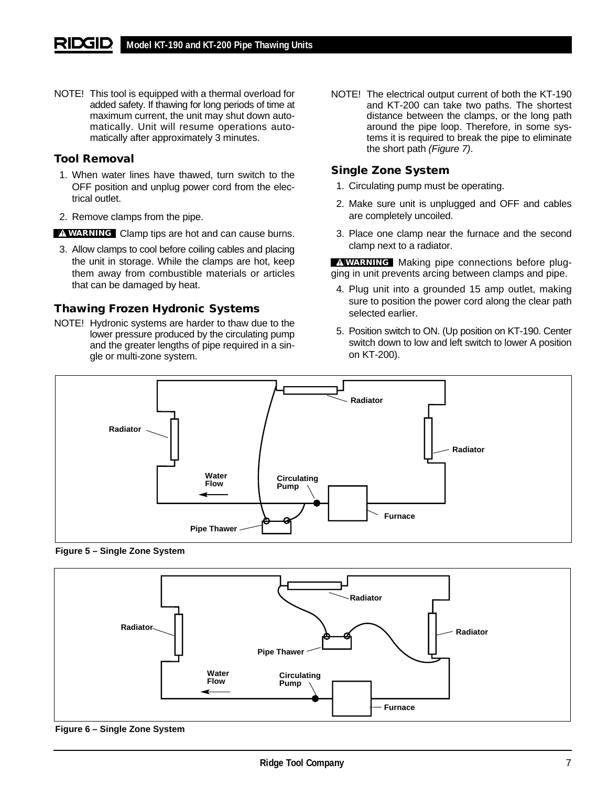NOTE! This tool is equipped with a thermal overload for added safety. If thawing for long periods of time at maximum current, the unit may shut down automatically. Unit will resume operations automatically after approximately 3 minutes.

#### **Tool Removal**

- 1. When water lines have thawed, turn switch to the OFF position and unplug power cord from the electrical outlet.
- 2. Remove clamps from the pipe.
- **WARNING** Clamp tips are hot and can cause burns.
- 3. Allow clamps to cool before coiling cables and placing the unit in storage. While the clamps are hot, keep them away from combustible materials or articles that can be damaged by heat.

#### **Thawing Frozen Hydronic Systems**

NOTE! Hydronic systems are harder to thaw due to the lower pressure produced by the circulating pump and the greater lengths of pipe required in a single or multi-zone system.

NOTE! The electrical output current of both the KT-190 and KT-200 can take two paths. The shortest distance between the clamps, or the long path around the pipe loop. Therefore, in some systems it is required to break the pipe to eliminate the short path (Figure 7).

#### **Single Zone System**

- 1. Circulating pump must be operating.
- 2. Make sure unit is unplugged and OFF and cables are completely uncoiled.
- 3. Place one clamp near the furnace and the second clamp next to a radiator.

**WARNING** Making pipe connections before plugging in unit prevents arcing between clamps and pipe.

- 4. Plug unit into a grounded 15 amp outlet, making sure to position the power cord along the clear path selected earlier.
- 5. Position switch to ON. (Up position on KT-190. Center switch down to low and left switch to lower A position on KT-200).



**Figure 5 – Single Zone System**



**Figure 6 – Single Zone System**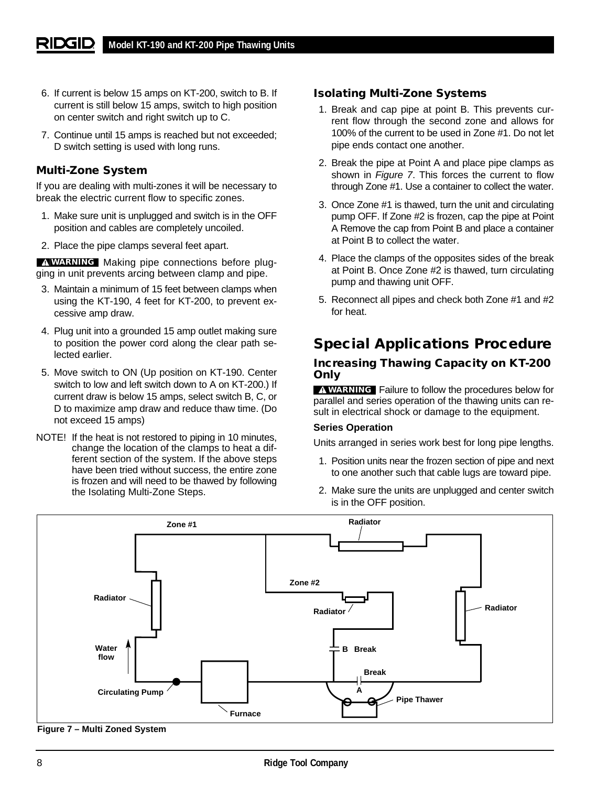- 6. If current is below 15 amps on KT-200, switch to B. If current is still below 15 amps, switch to high position on center switch and right switch up to C.
- 7. Continue until 15 amps is reached but not exceeded; D switch setting is used with long runs.

### **Multi-Zone System**

If you are dealing with multi-zones it will be necessary to break the electric current flow to specific zones.

- 1. Make sure unit is unplugged and switch is in the OFF position and cables are completely uncoiled.
- 2. Place the pipe clamps several feet apart.

Making pipe connections before plug-**WARNING** ging in unit prevents arcing between clamp and pipe.

- 3. Maintain a minimum of 15 feet between clamps when using the KT-190, 4 feet for KT-200, to prevent excessive amp draw.
- 4. Plug unit into a grounded 15 amp outlet making sure to position the power cord along the clear path selected earlier.
- 5. Move switch to ON (Up position on KT-190. Center switch to low and left switch down to A on KT-200.) If current draw is below 15 amps, select switch B, C, or D to maximize amp draw and reduce thaw time. (Do not exceed 15 amps)
- NOTE! If the heat is not restored to piping in 10 minutes, change the location of the clamps to heat a different section of the system. If the above steps have been tried without success, the entire zone is frozen and will need to be thawed by following the Isolating Multi-Zone Steps.

#### **Isolating Multi-Zone Systems**

- 1. Break and cap pipe at point B. This prevents current flow through the second zone and allows for 100% of the current to be used in Zone #1. Do not let pipe ends contact one another.
- 2. Break the pipe at Point A and place pipe clamps as shown in Figure 7. This forces the current to flow through Zone #1. Use a container to collect the water.
- 3. Once Zone #1 is thawed, turn the unit and circulating pump OFF. If Zone #2 is frozen, cap the pipe at Point A Remove the cap from Point B and place a container at Point B to collect the water.
- 4. Place the clamps of the opposites sides of the break at Point B. Once Zone #2 is thawed, turn circulating pump and thawing unit OFF.
- 5. Reconnect all pipes and check both Zone #1 and #2 for heat.

# **Special Applications Procedure**

#### **Increasing Thawing Capacity on KT-200 Only**

**WARNING** Failure to follow the procedures below for parallel and series operation of the thawing units can result in electrical shock or damage to the equipment.

#### **Series Operation**

Units arranged in series work best for long pipe lengths.

- 1. Position units near the frozen section of pipe and next to one another such that cable lugs are toward pipe.
- 2. Make sure the units are unplugged and center switch is in the OFF position.



**Figure 7 – Multi Zoned System**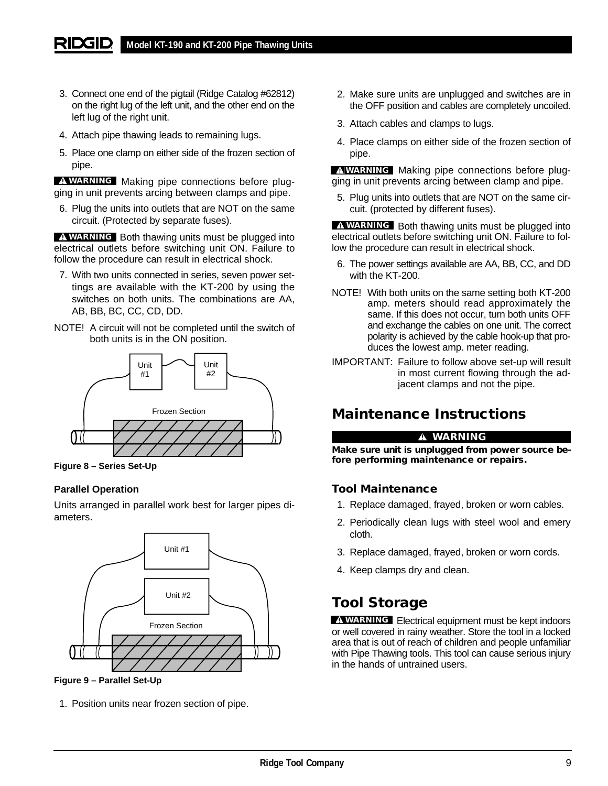- 3. Connect one end of the pigtail (Ridge Catalog #62812) on the right lug of the left unit, and the other end on the left lug of the right unit.
- 4. Attach pipe thawing leads to remaining lugs.
- 5. Place one clamp on either side of the frozen section of pipe.

Making pipe connections before plug-**WARNING** ging in unit prevents arcing between clamps and pipe.

6. Plug the units into outlets that are NOT on the same circuit. (Protected by separate fuses).

**WARNING** Both thawing units must be plugged into electrical outlets before switching unit ON. Failure to follow the procedure can result in electrical shock.

- 7. With two units connected in series, seven power settings are available with the KT-200 by using the switches on both units. The combinations are AA, AB, BB, BC, CC, CD, DD.
- NOTE! A circuit will not be completed until the switch of both units is in the ON position.



**Figure 8 – Series Set-Up**

#### **Parallel Operation**

Units arranged in parallel work best for larger pipes diameters.



**Figure 9 – Parallel Set-Up**

1. Position units near frozen section of pipe.

- 2. Make sure units are unplugged and switches are in the OFF position and cables are completely uncoiled.
- 3. Attach cables and clamps to lugs.
- 4. Place clamps on either side of the frozen section of pipe.

Making pipe connections before plug-**WARNING** ging in unit prevents arcing between clamp and pipe.

5. Plug units into outlets that are NOT on the same circuit. (protected by different fuses).

**WARNING** Both thawing units must be plugged into electrical outlets before switching unit ON. Failure to follow the procedure can result in electrical shock.

- 6. The power settings available are AA, BB, CC, and DD with the KT-200.
- NOTE! With both units on the same setting both KT-200 amp. meters should read approximately the same. If this does not occur, turn both units OFF and exchange the cables on one unit. The correct polarity is achieved by the cable hook-up that produces the lowest amp. meter reading.
- IMPORTANT: Failure to follow above set-up will result in most current flowing through the adjacent clamps and not the pipe.

## **Maintenance Instructions**

#### **WARNING**

**Make sure unit is unplugged from power source before performing maintenance or repairs.**

#### **Tool Maintenance**

- 1. Replace damaged, frayed, broken or worn cables.
- 2. Periodically clean lugs with steel wool and emery cloth.
- 3. Replace damaged, frayed, broken or worn cords.
- 4. Keep clamps dry and clean.

## **Tool Storage**

Electrical equipment must be kept indoors **WARNING** or well covered in rainy weather. Store the tool in a locked area that is out of reach of children and people unfamiliar with Pipe Thawing tools. This tool can cause serious injury in the hands of untrained users.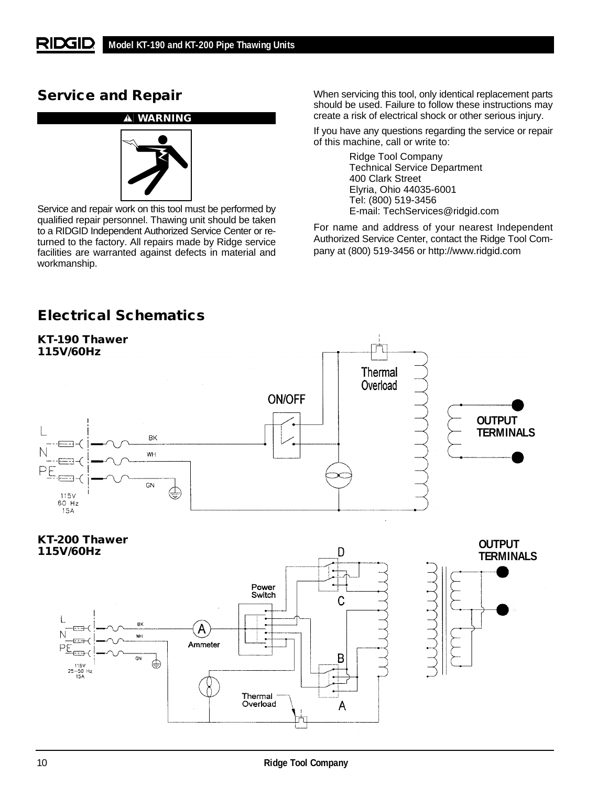## **Service and Repair**



Service and repair work on this tool must be performed by qualified repair personnel. Thawing unit should be taken to a RIDGID Independent Authorized Service Center or returned to the factory. All repairs made by Ridge service facilities are warranted against defects in material and workmanship.

When servicing this tool, only identical replacement parts should be used. Failure to follow these instructions may create a risk of electrical shock or other serious injury.

If you have any questions regarding the service or repair of this machine, call or write to:

> Ridge Tool Company Technical Service Department 400 Clark Street Elyria, Ohio 44035-6001 Tel: (800) 519-3456 E-mail: TechServices@ridgid.com

For name and address of your nearest Independent Authorized Service Center, contact the Ridge Tool Company at (800) 519-3456 or http://www.ridgid.com

# **Electrical Schematics**



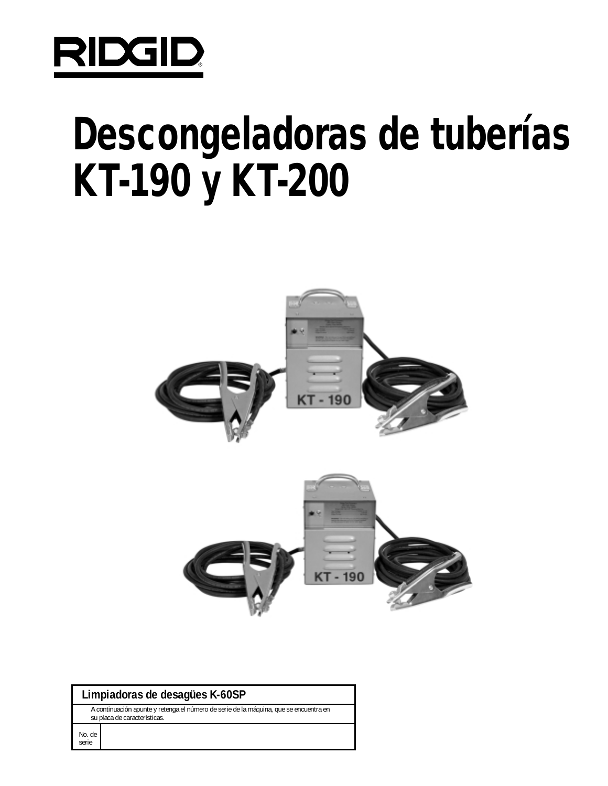

# **Descongeladoras de tuberías KT-190 y KT-200**



## **Limpiadoras de desagües K-60SP**

A continuación apunte y retenga el número de serie de la máquina, que se encuentra en su placa de características.

No. de serie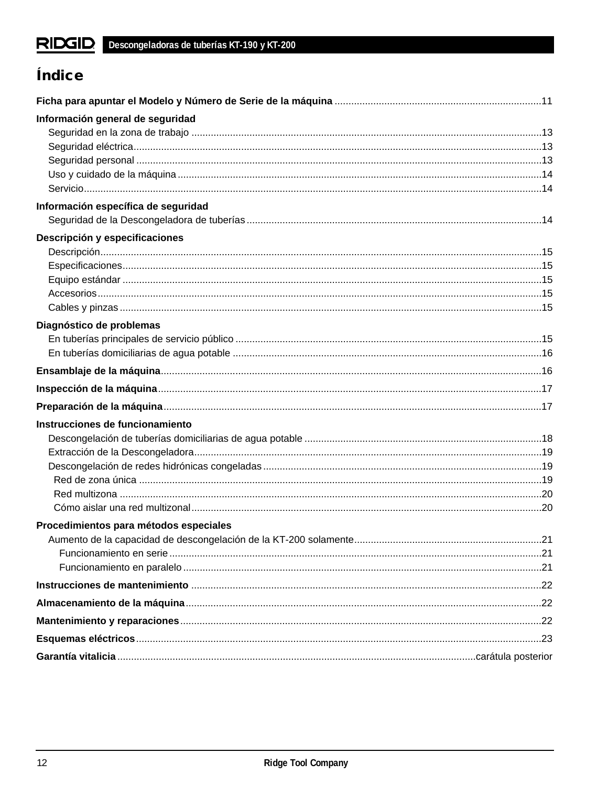# Índice

| Información general de seguridad       |  |
|----------------------------------------|--|
|                                        |  |
|                                        |  |
|                                        |  |
| Información específica de seguridad    |  |
| Descripción y especificaciones         |  |
|                                        |  |
|                                        |  |
|                                        |  |
|                                        |  |
| Diagnóstico de problemas               |  |
|                                        |  |
|                                        |  |
|                                        |  |
|                                        |  |
|                                        |  |
| Instrucciones de funcionamiento        |  |
|                                        |  |
|                                        |  |
|                                        |  |
|                                        |  |
|                                        |  |
|                                        |  |
| Procedimientos para métodos especiales |  |
|                                        |  |
|                                        |  |
|                                        |  |
|                                        |  |
|                                        |  |
|                                        |  |
|                                        |  |
|                                        |  |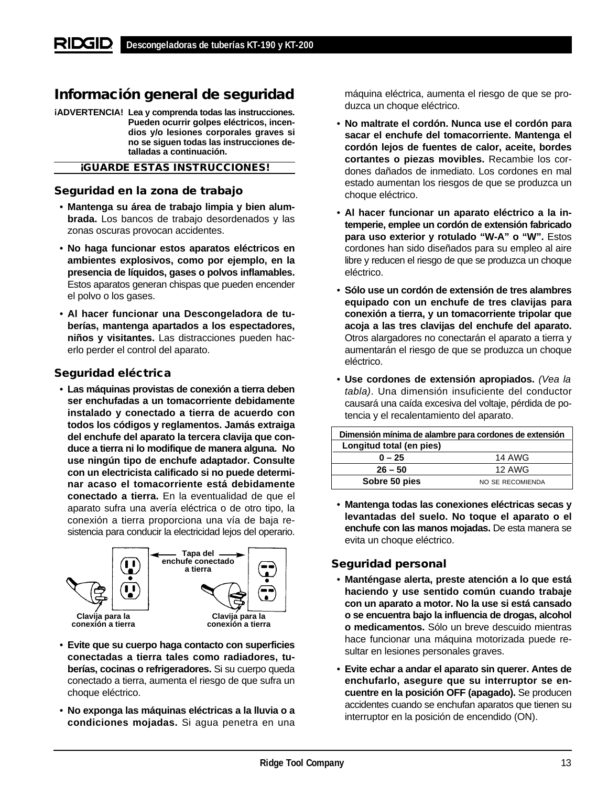# **Información general de seguridad**

**¡ADVERTENCIA! Lea y comprenda todas las instrucciones. Pueden ocurrir golpes eléctricos, incendios y/o lesiones corporales graves si no se siguen todas las instrucciones detalladas a continuación.**

#### **¡GUARDE ESTAS INSTRUCCIONES!**

#### **Seguridad en la zona de trabajo**

- **Mantenga su área de trabajo limpia y bien alumbrada.** Los bancos de trabajo desordenados y las zonas oscuras provocan accidentes.
- **No haga funcionar estos aparatos eléctricos en ambientes explosivos, como por ejemplo, en la presencia de líquidos, gases o polvos inflamables.** Estos aparatos generan chispas que pueden encender el polvo o los gases.
- **Al hacer funcionar una Descongeladora de tuberías, mantenga apartados a los espectadores, niños y visitantes.** Las distracciones pueden hacerlo perder el control del aparato.

#### **Seguridad eléctrica**

• **Las máquinas provistas de conexión a tierra deben ser enchufadas a un tomacorriente debidamente instalado y conectado a tierra de acuerdo con todos los códigos y reglamentos. Jamás extraiga del enchufe del aparato la tercera clavija que conduce a tierra ni lo modifique de manera alguna. No use ningún tipo de enchufe adaptador. Consulte con un electricista calificado si no puede determinar acaso el tomacorriente está debidamente conectado a tierra.** En la eventualidad de que el aparato sufra una avería eléctrica o de otro tipo, la conexión a tierra proporciona una vía de baja resistencia para conducir la electricidad lejos del operario.



- **Evite que su cuerpo haga contacto con superficies conectadas a tierra tales como radiadores, tuberías, cocinas o refrigeradores.** Si su cuerpo queda conectado a tierra, aumenta el riesgo de que sufra un choque eléctrico.
- **No exponga las máquinas eléctricas a la lluvia o a condiciones mojadas.** Si agua penetra en una

máquina eléctrica, aumenta el riesgo de que se produzca un choque eléctrico.

- **No maltrate el cordón. Nunca use el cordón para sacar el enchufe del tomacorriente. Mantenga el cordón lejos de fuentes de calor, aceite, bordes cortantes o piezas movibles.** Recambie los cordones dañados de inmediato. Los cordones en mal estado aumentan los riesgos de que se produzca un choque eléctrico.
- **Al hacer funcionar un aparato eléctrico a la intemperie, emplee un cordón de extensión fabricado para uso exterior y rotulado "W-A" o "W".** Estos cordones han sido diseñados para su empleo al aire libre y reducen el riesgo de que se produzca un choque eléctrico.
- **Sólo use un cordón de extensión de tres alambres equipado con un enchufe de tres clavijas para conexión a tierra, y un tomacorriente tripolar que acoja a las tres clavijas del enchufe del aparato.** Otros alargadores no conectarán el aparato a tierra y aumentarán el riesgo de que se produzca un choque eléctrico.
- **Use cordones de extensión apropiados.** (Vea la tabla). Una dimensión insuficiente del conductor causará una caída excesiva del voltaje, pérdida de potencia y el recalentamiento del aparato.

| Dimensión mínima de alambre para cordones de extensión |                  |
|--------------------------------------------------------|------------------|
| Longitud total (en pies)                               |                  |
| $0 - 25$                                               | 14 AWG           |
| $26 - 50$                                              | <b>12 AWG</b>    |
| Sobre 50 pies                                          | NO SE RECOMIENDA |

• **Mantenga todas las conexiones eléctricas secas y levantadas del suelo. No toque el aparato o el enchufe con las manos mojadas.** De esta manera se evita un choque eléctrico.

## **Seguridad personal**

- **Manténgase alerta, preste atención a lo que está haciendo y use sentido común cuando trabaje con un aparato a motor. No la use si está cansado o se encuentra bajo la influencia de drogas, alcohol o medicamentos.** Sólo un breve descuido mientras hace funcionar una máquina motorizada puede resultar en lesiones personales graves.
- **Evite echar a andar el aparato sin querer. Antes de enchufarlo, asegure que su interruptor se encuentre en la posición OFF (apagado).** Se producen accidentes cuando se enchufan aparatos que tienen su interruptor en la posición de encendido (ON).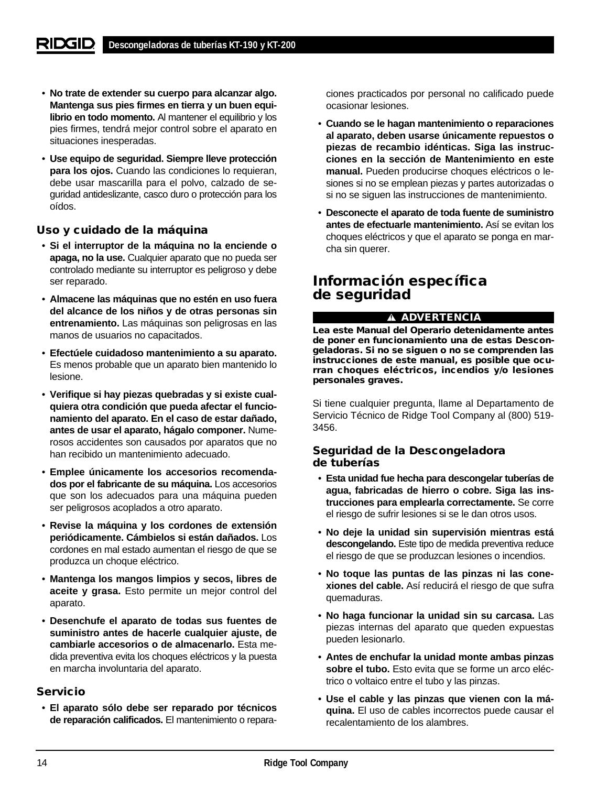- **No trate de extender su cuerpo para alcanzar algo. Mantenga sus pies firmes en tierra y un buen equilibrio en todo momento.** Al mantener el equilibrio y los pies firmes, tendrá mejor control sobre el aparato en situaciones inesperadas.
- **Use equipo de seguridad. Siempre lleve protección para los ojos.** Cuando las condiciones lo requieran, debe usar mascarilla para el polvo, calzado de seguridad antideslizante, casco duro o protección para los oídos.

#### **Uso y cuidado de la máquina**

- **Si el interruptor de la máquina no la enciende o apaga, no la use.** Cualquier aparato que no pueda ser controlado mediante su interruptor es peligroso y debe ser reparado.
- **Almacene las máquinas que no estén en uso fuera del alcance de los niños y de otras personas sin entrenamiento.** Las máquinas son peligrosas en las manos de usuarios no capacitados.
- **Efectúele cuidadoso mantenimiento a su aparato.** Es menos probable que un aparato bien mantenido lo lesione.
- **Verifique si hay piezas quebradas y si existe cualquiera otra condición que pueda afectar el funcionamiento del aparato. En el caso de estar dañado, antes de usar el aparato, hágalo componer.** Numerosos accidentes son causados por aparatos que no han recibido un mantenimiento adecuado.
- **Emplee únicamente los accesorios recomendados por el fabricante de su máquina.** Los accesorios que son los adecuados para una máquina pueden ser peligrosos acoplados a otro aparato.
- **Revise la máquina y los cordones de extensión periódicamente. Cámbielos si están dañados.** Los cordones en mal estado aumentan el riesgo de que se produzca un choque eléctrico.
- **Mantenga los mangos limpios y secos, libres de aceite y grasa.** Esto permite un mejor control del aparato.
- **Desenchufe el aparato de todas sus fuentes de suministro antes de hacerle cualquier ajuste, de cambiarle accesorios o de almacenarlo.** Esta medida preventiva evita los choques eléctricos y la puesta en marcha involuntaria del aparato.

#### **Servicio**

• **El aparato sólo debe ser reparado por técnicos de reparación calificados.** El mantenimiento o reparaciones practicados por personal no calificado puede ocasionar lesiones.

- **Cuando se le hagan mantenimiento o reparaciones al aparato, deben usarse únicamente repuestos o piezas de recambio idénticas. Siga las instrucciones en la sección de Mantenimiento en este manual.** Pueden producirse choques eléctricos o lesiones si no se emplean piezas y partes autorizadas o si no se siguen las instrucciones de mantenimiento.
- **Desconecte el aparato de toda fuente de suministro antes de efectuarle mantenimiento.** Así se evitan los choques eléctricos y que el aparato se ponga en marcha sin querer.

## **Información específica de seguridad**

#### **ADVERTENCIA**

**Lea este Manual del Operario detenidamente antes de poner en funcionamiento una de estas Descongeladoras. Si no se siguen o no se comprenden las instrucciones de este manual, es posible que ocurran choques eléctricos, incendios y/o lesiones personales graves.**

Si tiene cualquier pregunta, llame al Departamento de Servicio Técnico de Ridge Tool Company al (800) 519- 3456.

## **Seguridad de la Descongeladora de tuberías**

- **Esta unidad fue hecha para descongelar tuberías de agua, fabricadas de hierro o cobre. Siga las instrucciones para emplearla correctamente.** Se corre el riesgo de sufrir lesiones si se le dan otros usos.
- **No deje la unidad sin supervisión mientras está descongelando.** Este tipo de medida preventiva reduce el riesgo de que se produzcan lesiones o incendios.
- **No toque las puntas de las pinzas ni las conexiones del cable.** Así reducirá el riesgo de que sufra quemaduras.
- **No haga funcionar la unidad sin su carcasa.** Las piezas internas del aparato que queden expuestas pueden lesionarlo.
- **Antes de enchufar la unidad monte ambas pinzas sobre el tubo.** Esto evita que se forme un arco eléctrico o voltaico entre el tubo y las pinzas.
- **Use el cable y las pinzas que vienen con la máquina.** El uso de cables incorrectos puede causar el recalentamiento de los alambres.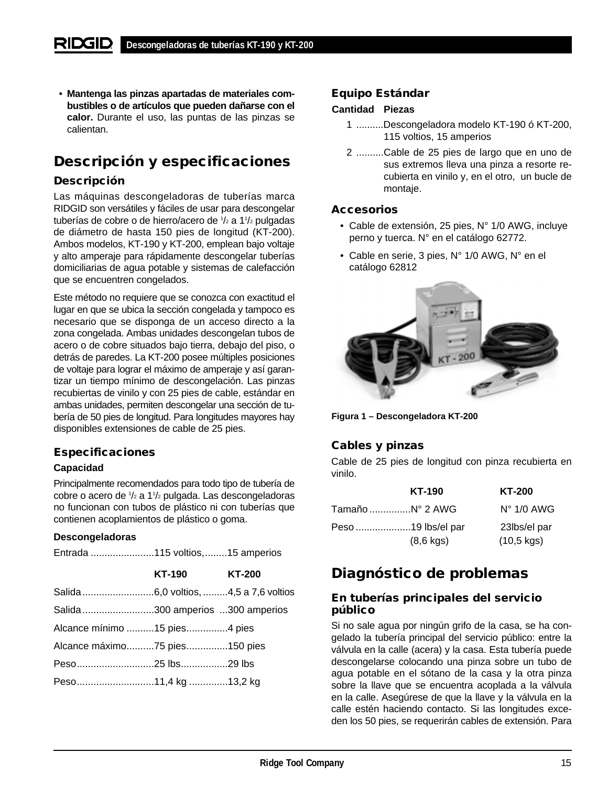• **Mantenga las pinzas apartadas de materiales combustibles o de artículos que pueden dañarse con el calor.** Durante el uso, las puntas de las pinzas se calientan.

# **Descripción y especificaciones**

### **Descripción**

Las máquinas descongeladoras de tuberías marca RIDGID son versátiles y fáciles de usar para descongelar tuberías de cobre o de hierro/acero de 1/2 a 11/2 pulgadas de diámetro de hasta 150 pies de longitud (KT-200). Ambos modelos, KT-190 y KT-200, emplean bajo voltaje y alto amperaje para rápidamente descongelar tuberías domiciliarias de agua potable y sistemas de calefacción que se encuentren congelados.

Este método no requiere que se conozca con exactitud el lugar en que se ubica la sección congelada y tampoco es necesario que se disponga de un acceso directo a la zona congelada. Ambas unidades descongelan tubos de acero o de cobre situados bajo tierra, debajo del piso, o detrás de paredes. La KT-200 posee múltiples posiciones de voltaje para lograr el máximo de amperaje y así garantizar un tiempo mínimo de descongelación. Las pinzas recubiertas de vinilo y con 25 pies de cable, estándar en ambas unidades, permiten descongelar una sección de tubería de 50 pies de longitud. Para longitudes mayores hay disponibles extensiones de cable de 25 pies.

## **Especificaciones**

#### **Capacidad**

Principalmente recomendados para todo tipo de tubería de cobre o acero de 1 /2 a 11 /2 pulgada. Las descongeladoras no funcionan con tubos de plástico ni con tuberías que contienen acoplamientos de plástico o goma.

#### **Descongeladoras**

Entrada .......................115 voltios,........15 amperios

|                                 | <b>KT-190</b> | <b>KT-200</b> |
|---------------------------------|---------------|---------------|
|                                 |               |               |
| Salida300 amperios 300 amperios |               |               |
| Alcance mínimo 15 pies4 pies    |               |               |
| Alcance máximo75 pies150 pies   |               |               |
|                                 |               |               |
|                                 |               |               |
|                                 |               |               |

#### **Equipo Estándar**

#### **Cantidad Piezas**

- 1 ..........Descongeladora modelo KT-190 ó KT-200, 115 voltios, 15 amperios
- 2 ..........Cable de 25 pies de largo que en uno de sus extremos lleva una pinza a resorte recubierta en vinilo y, en el otro, un bucle de montaje.

#### **Accesorios**

- Cable de extensión, 25 pies, N° 1/0 AWG, incluye perno y tuerca. N° en el catálogo 62772.
- Cable en serie, 3 pies, N° 1/0 AWG, N° en el catálogo 62812



**Figura 1 – Descongeladora KT-200**

## **Cables y pinzas**

Cable de 25 pies de longitud con pinza recubierta en vinilo.

|                 | KT-190              | <b>KT-200</b>        |
|-----------------|---------------------|----------------------|
| Tamaño N° 2 AWG |                     | $N^{\circ}$ 1/0 AWG  |
|                 | Peso 19 lbs/el par  | 23lbs/el par         |
|                 | $(8,6 \text{ kgs})$ | $(10,5 \text{ kgs})$ |

## **Diagnóstico de problemas**

#### **En tuberías principales del servicio público**

Si no sale agua por ningún grifo de la casa, se ha congelado la tubería principal del servicio público: entre la válvula en la calle (acera) y la casa. Esta tubería puede descongelarse colocando una pinza sobre un tubo de agua potable en el sótano de la casa y la otra pinza sobre la llave que se encuentra acoplada a la válvula en la calle. Asegúrese de que la llave y la válvula en la calle estén haciendo contacto. Si las longitudes exceden los 50 pies, se requerirán cables de extensión. Para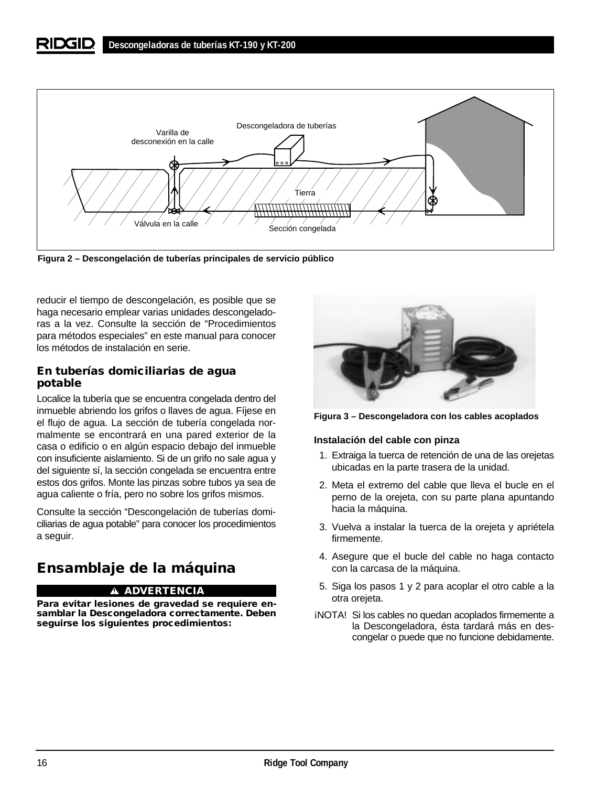

**Figura 2 – Descongelación de tuberías principales de servicio público**

reducir el tiempo de descongelación, es posible que se haga necesario emplear varias unidades descongeladoras a la vez. Consulte la sección de "Procedimientos para métodos especiales" en este manual para conocer los métodos de instalación en serie.

#### **En tuberías domiciliarias de agua potable**

Localice la tubería que se encuentra congelada dentro del inmueble abriendo los grifos o llaves de agua. Fíjese en el flujo de agua. La sección de tubería congelada normalmente se encontrará en una pared exterior de la casa o edificio o en algún espacio debajo del inmueble con insuficiente aislamiento. Si de un grifo no sale agua y del siguiente sí, la sección congelada se encuentra entre estos dos grifos. Monte las pinzas sobre tubos ya sea de agua caliente o fría, pero no sobre los grifos mismos.

Consulte la sección "Descongelación de tuberías domiciliarias de agua potable" para conocer los procedimientos a seguir.

# **Ensamblaje de la máquina**

#### **ADVERTENCIA**

**Para evitar lesiones de gravedad se requiere ensamblar la Descongeladora correctamente. Deben seguirse los siguientes procedimientos:**



**Figura 3 – Descongeladora con los cables acoplados**

#### **Instalación del cable con pinza**

- 1. Extraiga la tuerca de retención de una de las orejetas ubicadas en la parte trasera de la unidad.
- 2. Meta el extremo del cable que lleva el bucle en el perno de la orejeta, con su parte plana apuntando hacia la máquina.
- 3. Vuelva a instalar la tuerca de la orejeta y apriétela firmemente.
- 4. Asegure que el bucle del cable no haga contacto con la carcasa de la máquina.
- 5. Siga los pasos 1 y 2 para acoplar el otro cable a la otra orejeta.
- ¡NOTA! Si los cables no quedan acoplados firmemente a la Descongeladora, ésta tardará más en descongelar o puede que no funcione debidamente.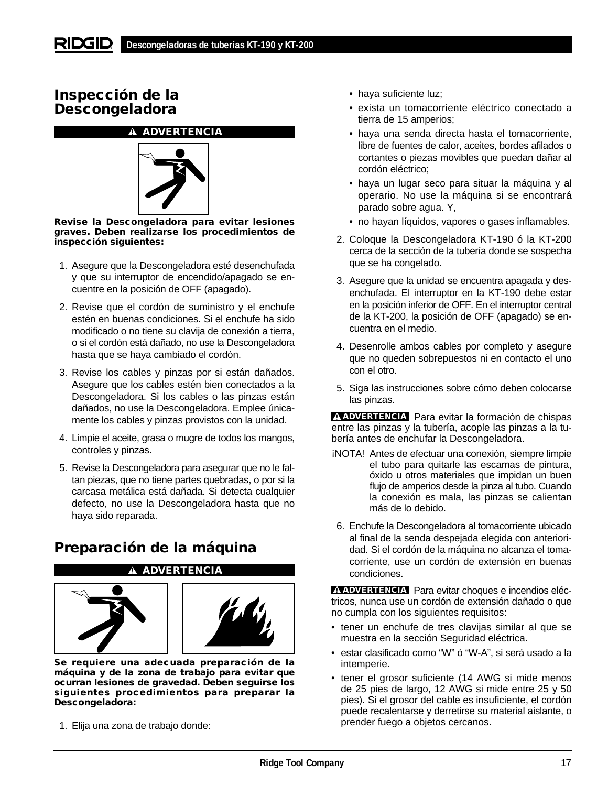## **Inspección de la Descongeladora**

#### **ADVERTENCIA**



**Revise la Descongeladora para evitar lesiones graves. Deben realizarse los procedimientos de inspección siguientes:**

- 1. Asegure que la Descongeladora esté desenchufada y que su interruptor de encendido/apagado se encuentre en la posición de OFF (apagado).
- 2. Revise que el cordón de suministro y el enchufe estén en buenas condiciones. Si el enchufe ha sido modificado o no tiene su clavija de conexión a tierra, o si el cordón está dañado, no use la Descongeladora hasta que se haya cambiado el cordón.
- 3. Revise los cables y pinzas por si están dañados. Asegure que los cables estén bien conectados a la Descongeladora. Si los cables o las pinzas están dañados, no use la Descongeladora. Emplee únicamente los cables y pinzas provistos con la unidad.
- 4. Limpie el aceite, grasa o mugre de todos los mangos, controles y pinzas.
- 5. Revise la Descongeladora para asegurar que no le faltan piezas, que no tiene partes quebradas, o por si la carcasa metálica está dañada. Si detecta cualquier defecto, no use la Descongeladora hasta que no haya sido reparada.

**ADVERTENCIA**

# **Preparación de la máquina**





**Se requiere una adecuada preparación de la máquina y de la zona de trabajo para evitar que ocurran lesiones de gravedad. Deben seguirse los siguientes procedimientos para preparar la Descongeladora:**

1. Elija una zona de trabajo donde:

- haya suficiente luz;
- exista un tomacorriente eléctrico conectado a tierra de 15 amperios;
- haya una senda directa hasta el tomacorriente, libre de fuentes de calor, aceites, bordes afilados o cortantes o piezas movibles que puedan dañar al cordón eléctrico;
- haya un lugar seco para situar la máquina y al operario. No use la máquina si se encontrará parado sobre agua. Y,
- no hayan líquidos, vapores o gases inflamables.
- 2. Coloque la Descongeladora KT-190 ó la KT-200 cerca de la sección de la tubería donde se sospecha que se ha congelado.
- 3. Asegure que la unidad se encuentra apagada y desenchufada. El interruptor en la KT-190 debe estar en la posición inferior de OFF. En el interruptor central de la KT-200, la posición de OFF (apagado) se encuentra en el medio.
- 4. Desenrolle ambos cables por completo y asegure que no queden sobrepuestos ni en contacto el uno con el otro.
- 5. Siga las instrucciones sobre cómo deben colocarse las pinzas.

**ADVERTENCIA** Para evitar la formación de chispas entre las pinzas y la tubería, acople las pinzas a la tubería antes de enchufar la Descongeladora.

- ¡NOTA! Antes de efectuar una conexión, siempre limpie el tubo para quitarle las escamas de pintura, óxido u otros materiales que impidan un buen flujo de amperios desde la pinza al tubo. Cuando la conexión es mala, las pinzas se calientan más de lo debido.
- 6. Enchufe la Descongeladora al tomacorriente ubicado al final de la senda despejada elegida con anterioridad. Si el cordón de la máquina no alcanza el tomacorriente, use un cordón de extensión en buenas condiciones.

**ADVERTENCIA** Para evitar choques e incendios eléctricos, nunca use un cordón de extensión dañado o que no cumpla con los siguientes requisitos:

- tener un enchufe de tres clavijas similar al que se muestra en la sección Seguridad eléctrica.
- estar clasificado como "W" ó "W-A", si será usado a la intemperie.
- tener el grosor suficiente (14 AWG si mide menos de 25 pies de largo, 12 AWG si mide entre 25 y 50 pies). Si el grosor del cable es insuficiente, el cordón puede recalentarse y derretirse su material aislante, o prender fuego a objetos cercanos.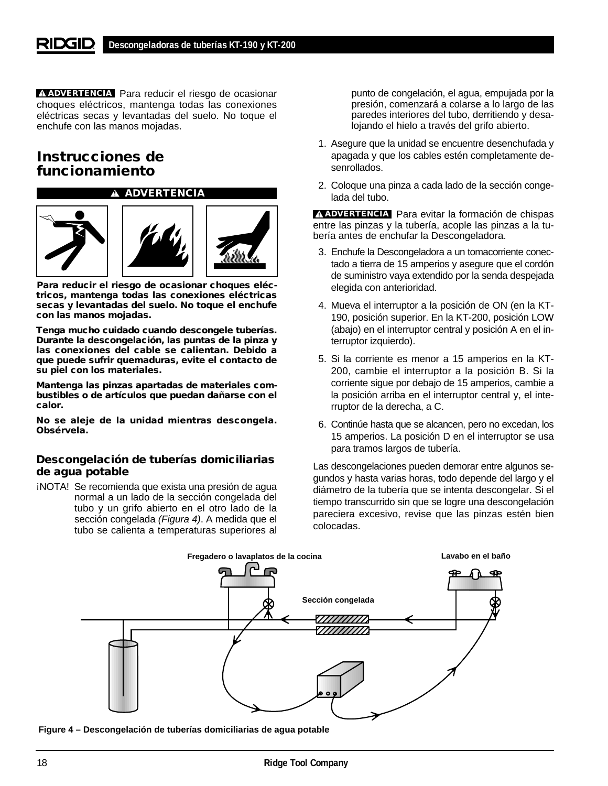**ADVERTENCIA** Para reducir el riesgo de ocasionar choques eléctricos, mantenga todas las conexiones eléctricas secas y levantadas del suelo. No toque el enchufe con las manos mojadas.

## **Instrucciones de funcionamiento**



**Para reducir el riesgo de ocasionar choques eléctricos, mantenga todas las conexiones eléctricas secas y levantadas del suelo. No toque el enchufe con las manos mojadas.**

**Tenga mucho cuidado cuando descongele tuberías. Durante la descongelación, las puntas de la pinza y las conexiones del cable se calientan. Debido a que puede sufrir quemaduras, evite el contacto de su piel con los materiales.**

**Mantenga las pinzas apartadas de materiales combustibles o de artículos que puedan dañarse con el calor.**

**No se aleje de la unidad mientras descongela. Obsérvela.**

#### **Descongelación de tuberías domiciliarias de agua potable**

¡NOTA! Se recomienda que exista una presión de agua normal a un lado de la sección congelada del tubo y un grifo abierto en el otro lado de la sección congelada (Figura 4). A medida que el tubo se calienta a temperaturas superiores al

punto de congelación, el agua, empujada por la presión, comenzará a colarse a lo largo de las paredes interiores del tubo, derritiendo y desalojando el hielo a través del grifo abierto.

- 1. Asegure que la unidad se encuentre desenchufada y apagada y que los cables estén completamente desenrollados.
- 2. Coloque una pinza a cada lado de la sección congelada del tubo.

**ADVERTENCIA** Para evitar la formación de chispas entre las pinzas y la tubería, acople las pinzas a la tubería antes de enchufar la Descongeladora.

- 3. Enchufe la Descongeladora a un tomacorriente conectado a tierra de 15 amperios y asegure que el cordón de suministro vaya extendido por la senda despejada elegida con anterioridad.
- 4. Mueva el interruptor a la posición de ON (en la KT-190, posición superior. En la KT-200, posición LOW (abajo) en el interruptor central y posición A en el interruptor izquierdo).
- 5. Si la corriente es menor a 15 amperios en la KT-200, cambie el interruptor a la posición B. Si la corriente sigue por debajo de 15 amperios, cambie a la posición arriba en el interruptor central y, el interruptor de la derecha, a C.
- 6. Continúe hasta que se alcancen, pero no excedan, los 15 amperios. La posición D en el interruptor se usa para tramos largos de tubería.

Las descongelaciones pueden demorar entre algunos segundos y hasta varias horas, todo depende del largo y el diámetro de la tubería que se intenta descongelar. Si el tiempo transcurrido sin que se logre una descongelación pareciera excesivo, revise que las pinzas estén bien colocadas.



**Figure 4 – Descongelación de tuberías domiciliarias de agua potable**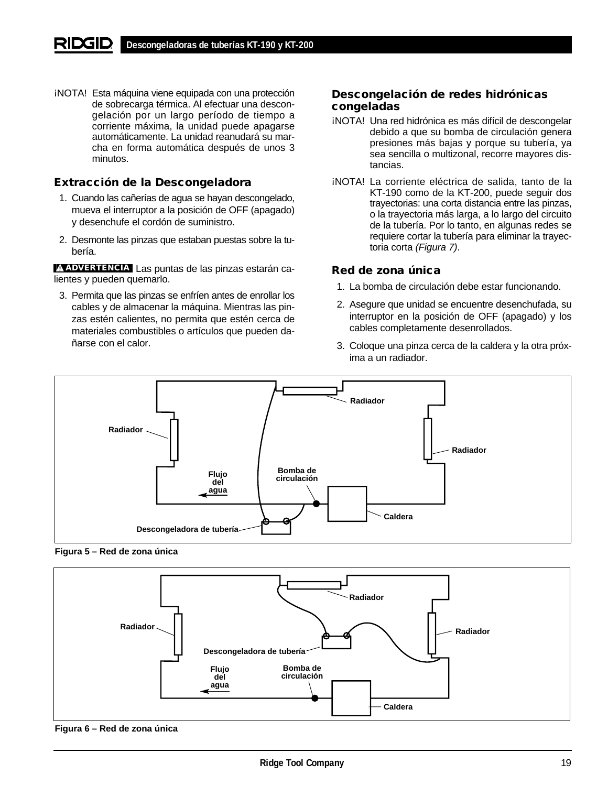¡NOTA! Esta máquina viene equipada con una protección de sobrecarga térmica. Al efectuar una descongelación por un largo período de tiempo a corriente máxima, la unidad puede apagarse automáticamente. La unidad reanudará su marcha en forma automática después de unos 3 minutos.

## **Extracción de la Descongeladora**

- 1. Cuando las cañerías de agua se hayan descongelado, mueva el interruptor a la posición de OFF (apagado) y desenchufe el cordón de suministro.
- 2. Desmonte las pinzas que estaban puestas sobre la tubería.

Las puntas de las pinzas estarán ca-**ADVERTENCIA**lientes y pueden quemarlo.

3. Permita que las pinzas se enfríen antes de enrollar los cables y de almacenar la máquina. Mientras las pinzas estén calientes, no permita que estén cerca de materiales combustibles o artículos que pueden dañarse con el calor.

### **Descongelación de redes hidrónicas congeladas**

- ¡NOTA! Una red hidrónica es más difícil de descongelar debido a que su bomba de circulación genera presiones más bajas y porque su tubería, ya sea sencilla o multizonal, recorre mayores distancias.
- ¡NOTA! La corriente eléctrica de salida, tanto de la KT-190 como de la KT-200, puede seguir dos trayectorias: una corta distancia entre las pinzas, o la trayectoria más larga, a lo largo del circuito de la tubería. Por lo tanto, en algunas redes se requiere cortar la tubería para eliminar la trayectoria corta (Figura 7).

#### **Red de zona única**

- 1. La bomba de circulación debe estar funcionando.
- 2. Asegure que unidad se encuentre desenchufada, su interruptor en la posición de OFF (apagado) y los cables completamente desenrollados.
- 3. Coloque una pinza cerca de la caldera y la otra próxima a un radiador.



**Figura 5 – Red de zona única**



**Figura 6 – Red de zona única**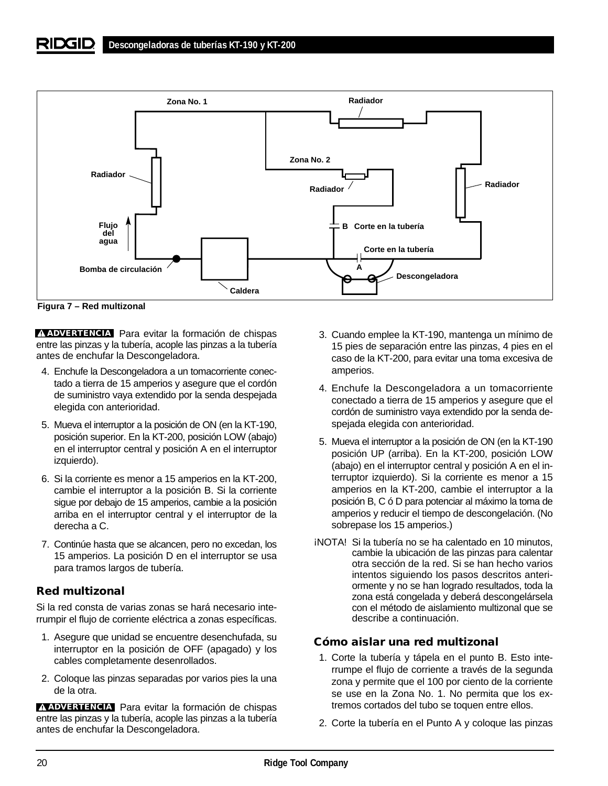

**Figura 7 – Red multizonal**

**ADVERTENCIA** Para evitar la formación de chispas entre las pinzas y la tubería, acople las pinzas a la tubería antes de enchufar la Descongeladora.

- 4. Enchufe la Descongeladora a un tomacorriente conectado a tierra de 15 amperios y asegure que el cordón de suministro vaya extendido por la senda despejada elegida con anterioridad.
- 5. Mueva el interruptor a la posición de ON (en la KT-190, posición superior. En la KT-200, posición LOW (abajo) en el interruptor central y posición A en el interruptor izquierdo).
- 6. Si la corriente es menor a 15 amperios en la KT-200, cambie el interruptor a la posición B. Si la corriente sigue por debajo de 15 amperios, cambie a la posición arriba en el interruptor central y el interruptor de la derecha a C.
- 7. Continúe hasta que se alcancen, pero no excedan, los 15 amperios. La posición D en el interruptor se usa para tramos largos de tubería.

## **Red multizonal**

Si la red consta de varias zonas se hará necesario interrumpir el flujo de corriente eléctrica a zonas específicas.

- 1. Asegure que unidad se encuentre desenchufada, su interruptor en la posición de OFF (apagado) y los cables completamente desenrollados.
- 2. Coloque las pinzas separadas por varios pies la una de la otra.

**ADVERTENCIA** Para evitar la formación de chispas entre las pinzas y la tubería, acople las pinzas a la tubería antes de enchufar la Descongeladora.

- 3. Cuando emplee la KT-190, mantenga un mínimo de 15 pies de separación entre las pinzas, 4 pies en el caso de la KT-200, para evitar una toma excesiva de amperios.
- 4. Enchufe la Descongeladora a un tomacorriente conectado a tierra de 15 amperios y asegure que el cordón de suministro vaya extendido por la senda despejada elegida con anterioridad.
- 5. Mueva el interruptor a la posición de ON (en la KT-190 posición UP (arriba). En la KT-200, posición LOW (abajo) en el interruptor central y posición A en el interruptor izquierdo). Si la corriente es menor a 15 amperios en la KT-200, cambie el interruptor a la posición B, C ó D para potenciar al máximo la toma de amperios y reducir el tiempo de descongelación. (No sobrepase los 15 amperios.)
- ¡NOTA! Si la tubería no se ha calentado en 10 minutos, cambie la ubicación de las pinzas para calentar otra sección de la red. Si se han hecho varios intentos siguiendo los pasos descritos anteriormente y no se han logrado resultados, toda la zona está congelada y deberá descongelársela con el método de aislamiento multizonal que se describe a continuación.

## **Cómo aislar una red multizonal**

- 1. Corte la tubería y tápela en el punto B. Esto interrumpe el flujo de corriente a través de la segunda zona y permite que el 100 por ciento de la corriente se use en la Zona No. 1. No permita que los extremos cortados del tubo se toquen entre ellos.
- 2. Corte la tubería en el Punto A y coloque las pinzas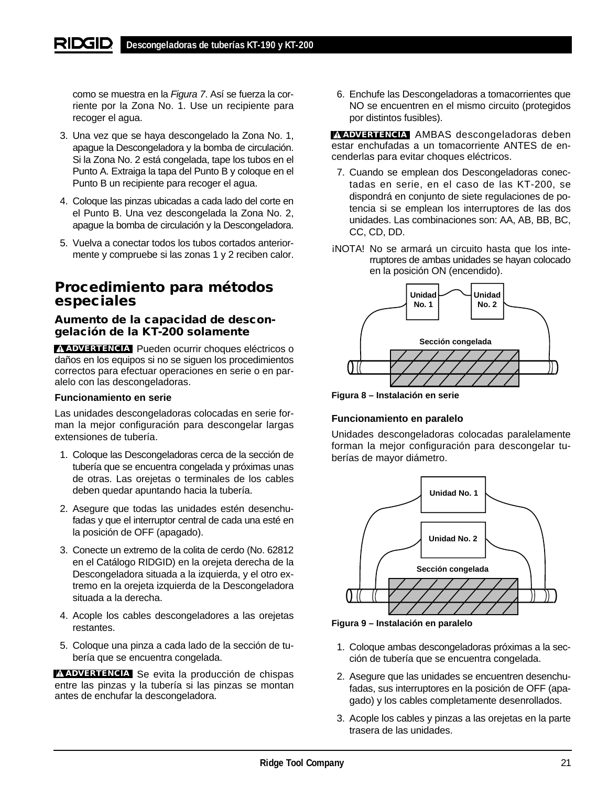como se muestra en la Figura 7. Así se fuerza la corriente por la Zona No. 1. Use un recipiente para recoger el agua.

- 3. Una vez que se haya descongelado la Zona No. 1, apague la Descongeladora y la bomba de circulación. Si la Zona No. 2 está congelada, tape los tubos en el Punto A. Extraiga la tapa del Punto B y coloque en el Punto B un recipiente para recoger el agua.
- 4. Coloque las pinzas ubicadas a cada lado del corte en el Punto B. Una vez descongelada la Zona No. 2, apague la bomba de circulación y la Descongeladora.
- 5. Vuelva a conectar todos los tubos cortados anteriormente y compruebe si las zonas 1 y 2 reciben calor.

## **Procedimiento para métodos especiales**

### **Aumento de la capacidad de descongelación de la KT-200 solamente**

**ADVERTENCIA** Pueden ocurrir choques eléctricos o daños en los equipos si no se siguen los procedimientos correctos para efectuar operaciones en serie o en paralelo con las descongeladoras.

#### **Funcionamiento en serie**

Las unidades descongeladoras colocadas en serie forman la mejor configuración para descongelar largas extensiones de tubería.

- 1. Coloque las Descongeladoras cerca de la sección de tubería que se encuentra congelada y próximas unas de otras. Las orejetas o terminales de los cables deben quedar apuntando hacia la tubería.
- 2. Asegure que todas las unidades estén desenchufadas y que el interruptor central de cada una esté en la posición de OFF (apagado).
- 3. Conecte un extremo de la colita de cerdo (No. 62812 en el Catálogo RIDGID) en la orejeta derecha de la Descongeladora situada a la izquierda, y el otro extremo en la orejeta izquierda de la Descongeladora situada a la derecha.
- 4. Acople los cables descongeladores a las orejetas restantes.
- 5. Coloque una pinza a cada lado de la sección de tubería que se encuentra congelada.

**ADVERTENCIA** Se evita la producción de chispas entre las pinzas y la tubería si las pinzas se montan antes de enchufar la descongeladora.

6. Enchufe las Descongeladoras a tomacorrientes que NO se encuentren en el mismo circuito (protegidos por distintos fusibles).

**ADVERTENCIA** AMBAS descongeladoras deben estar enchufadas a un tomacorriente ANTES de encenderlas para evitar choques eléctricos.

- 7. Cuando se emplean dos Descongeladoras conectadas en serie, en el caso de las KT-200, se dispondrá en conjunto de siete regulaciones de potencia si se emplean los interruptores de las dos unidades. Las combinaciones son: AA, AB, BB, BC, CC, CD, DD.
- ¡NOTA! No se armará un circuito hasta que los interruptores de ambas unidades se hayan colocado en la posición ON (encendido).



**Figura 8 – Instalación en serie**

#### **Funcionamiento en paralelo**

Unidades descongeladoras colocadas paralelamente forman la mejor configuración para descongelar tuberías de mayor diámetro.



**Figura 9 – Instalación en paralelo**

- 1. Coloque ambas descongeladoras próximas a la sección de tubería que se encuentra congelada.
- 2. Asegure que las unidades se encuentren desenchufadas, sus interruptores en la posición de OFF (apagado) y los cables completamente desenrollados.
- 3. Acople los cables y pinzas a las orejetas en la parte trasera de las unidades.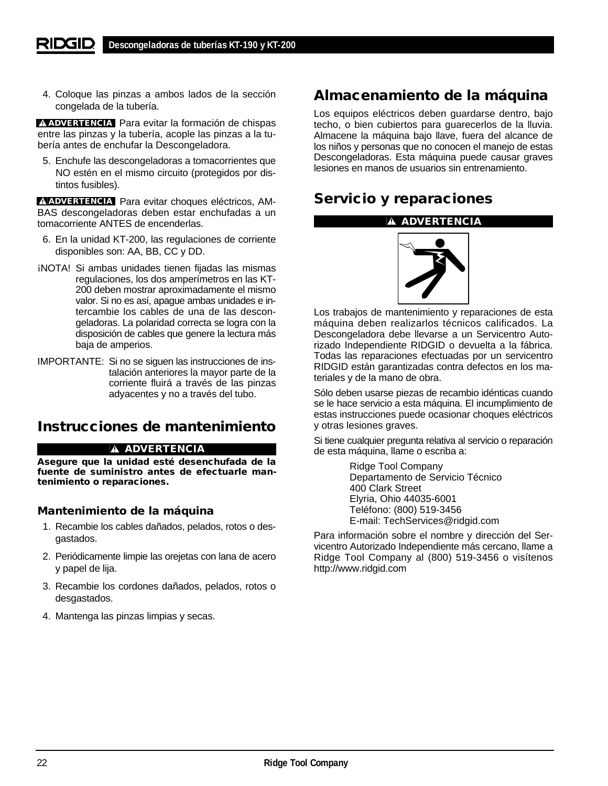4. Coloque las pinzas a ambos lados de la sección congelada de la tubería.

**ADVERTENCIA** Para evitar la formación de chispas entre las pinzas y la tubería, acople las pinzas a la tubería antes de enchufar la Descongeladora.

5. Enchufe las descongeladoras a tomacorrientes que NO estén en el mismo circuito (protegidos por distintos fusibles).

**ADVERTENCIA** Para evitar choques eléctricos, AM-BAS descongeladoras deben estar enchufadas a un tomacorriente ANTES de encenderlas.

- 6. En la unidad KT-200, las regulaciones de corriente disponibles son: AA, BB, CC y DD.
- ¡NOTA! Si ambas unidades tienen fijadas las mismas regulaciones, los dos amperímetros en las KT-200 deben mostrar aproximadamente el mismo valor. Si no es así, apague ambas unidades e intercambie los cables de una de las descongeladoras. La polaridad correcta se logra con la disposición de cables que genere la lectura más baja de amperios.
- IMPORTANTE: Si no se siguen las instrucciones de instalación anteriores la mayor parte de la corriente fluirá a través de las pinzas adyacentes y no a través del tubo.

## **Instrucciones de mantenimiento**

#### **ADVERTENCIA**

**Asegure que la unidad esté desenchufada de la fuente de suministro antes de efectuarle mantenimiento o reparaciones.**

#### **Mantenimiento de la máquina**

- 1. Recambie los cables dañados, pelados, rotos o desgastados.
- 2. Periódicamente limpie las orejetas con lana de acero y papel de lija.
- 3. Recambie los cordones dañados, pelados, rotos o desgastados.
- 4. Mantenga las pinzas limpias y secas.

## **Almacenamiento de la máquina**

Los equipos eléctricos deben guardarse dentro, bajo techo, o bien cubiertos para guarecerlos de la lluvia. Almacene la máquina bajo llave, fuera del alcance de los niños y personas que no conocen el manejo de estas Descongeladoras. Esta máquina puede causar graves lesiones en manos de usuarios sin entrenamiento.

## **Servicio y reparaciones**

### **ADVERTENCIA**



Los trabajos de mantenimiento y reparaciones de esta máquina deben realizarlos técnicos calificados. La Descongeladora debe llevarse a un Servicentro Autorizado Independiente RIDGID o devuelta a la fábrica. Todas las reparaciones efectuadas por un servicentro RIDGID están garantizadas contra defectos en los materiales y de la mano de obra.

Sólo deben usarse piezas de recambio idénticas cuando se le hace servicio a esta máquina. El incumplimiento de estas instrucciones puede ocasionar choques eléctricos y otras lesiones graves.

Si tiene cualquier pregunta relativa al servicio o reparación de esta máquina, llame o escriba a:

> Ridge Tool Company Departamento de Servicio Técnico 400 Clark Street Elyria, Ohio 44035-6001 Teléfono: (800) 519-3456 E-mail: TechServices@ridgid.com

Para información sobre el nombre y dirección del Servicentro Autorizado Independiente más cercano, llame a Ridge Tool Company al (800) 519-3456 o visítenos http://www.ridgid.com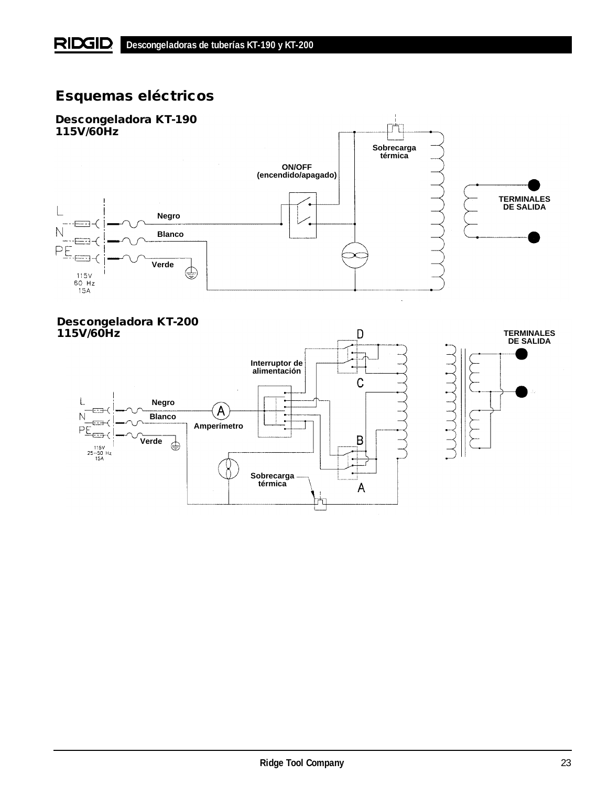# **Esquemas eléctricos**



## **Descongeladora KT-200 115V/60Hz D**